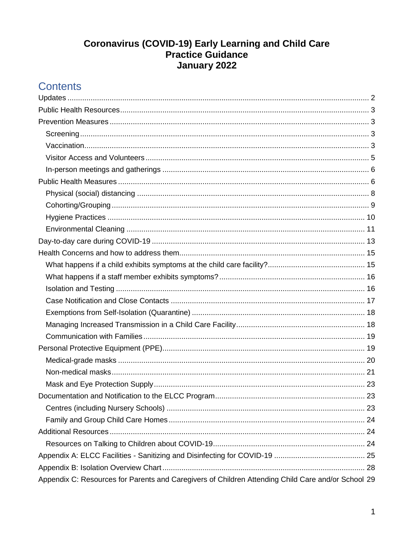# **Coronavirus (COVID-19) Early Learning and Child Care<br>Practice Guidance** January 2022

| Appendix C: Resources for Parents and Caregivers of Children Attending Child Care and/or School 29 |  |  |  |  |
|----------------------------------------------------------------------------------------------------|--|--|--|--|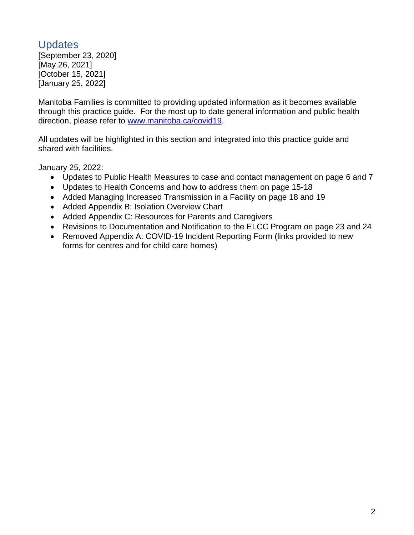# <span id="page-1-0"></span>**Updates**

[September 23, 2020] [May 26, 2021] [October 15, 2021] [January 25, 2022]

Manitoba Families is committed to providing updated information as it becomes available through this practice guide. For the most up to date general information and public health direction, please refer to [www.manitoba.ca/covid19.](http://www.manitoba.ca/covid19)

All updates will be highlighted in this section and integrated into this practice guide and shared with facilities.

January 25, 2022:

- Updates to Public Health Measures to case and contact management on page 6 and 7
- Updates to Health Concerns and how to address them on page 15-18
- Added Managing Increased Transmission in a Facility on page 18 and 19
- Added Appendix B: Isolation Overview Chart
- Added Appendix C: Resources for Parents and Caregivers
- Revisions to Documentation and Notification to the ELCC Program on page 23 and 24
- Removed Appendix A: COVID-19 Incident Reporting Form (links provided to new forms for centres and for child care homes)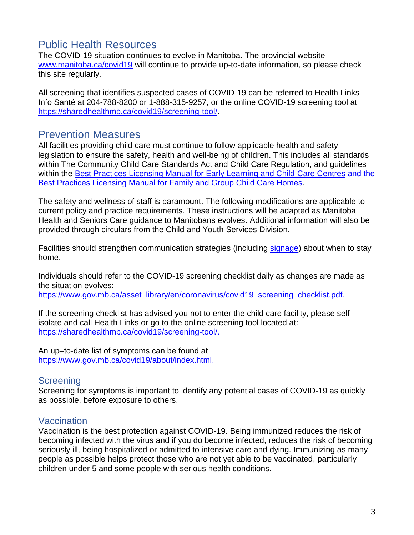# <span id="page-2-0"></span>Public Health Resources

The COVID-19 situation continues to evolve in Manitoba. The provincial website [www.manitoba.ca/covid19](http://www.manitoba.ca/covid19) will continue to provide up-to-date information, so please check this site regularly.

All screening that identifies suspected cases of COVID-19 can be referred to Health Links – Info Santé at 204-788-8200 or 1-888-315-9257, or the online COVID-19 screening tool at [https://sharedhealthmb.ca/covid19/screening-tool/.](https://sharedhealthmb.ca/covid19/screening-tool/)

# <span id="page-2-1"></span>Prevention Measures

All facilities providing child care must continue to follow applicable health and safety legislation to ensure the safety, health and well-being of children. This includes all standards within The Community Child Care Standards Act and Child Care Regulation, and guidelines within the **Best Practices Licensing Manual for Early Learning and Child Care Centres and the** [Best Practices Licensing Manual for Family and Group Child Care Homes.](https://www.gov.mb.ca/fs/childcare/resources/pubs/bp_licensing_manual.pdf)

The safety and wellness of staff is paramount. The following modifications are applicable to current policy and practice requirements. These instructions will be adapted as Manitoba Health and Seniors Care guidance to Manitobans evolves. Additional information will also be provided through circulars from the Child and Youth Services Division.

Facilities should strengthen communication strategies (including [signage\)](https://www.gov.mb.ca/asset_library/en/coronavirus/COVID-19-poster-1.pdf) about when to stay home.

Individuals should refer to the COVID-19 screening checklist daily as changes are made as the situation evolves:

[https://www.gov.mb.ca/asset\\_library/en/coronavirus/covid19\\_screening\\_checklist.pdf.](https://www.gov.mb.ca/asset_library/en/coronavirus/covid19_screening_checklist.pdf)

If the screening checklist has advised you not to enter the child care facility, please selfisolate and call Health Links or go to the online screening tool located at: [https://sharedhealthmb.ca/covid19/screening-tool/.](https://sharedhealthmb.ca/covid19/screening-tool/)

An up–to-date list of symptoms can be found at [https://www.gov.mb.ca/covid19/about/index.html.](https://www.gov.mb.ca/covid19/about/index.html)

### <span id="page-2-2"></span>**Screening**

Screening for symptoms is important to identify any potential cases of COVID-19 as quickly as possible, before exposure to others.

### <span id="page-2-3"></span>Vaccination

Vaccination is the best protection against COVID-19. Being immunized reduces the risk of becoming infected with the virus and if you do become infected, reduces the risk of becoming seriously ill, being hospitalized or admitted to intensive care and dying. Immunizing as many people as possible helps protect those who are not yet able to be vaccinated, particularly children under 5 and some people with serious health conditions.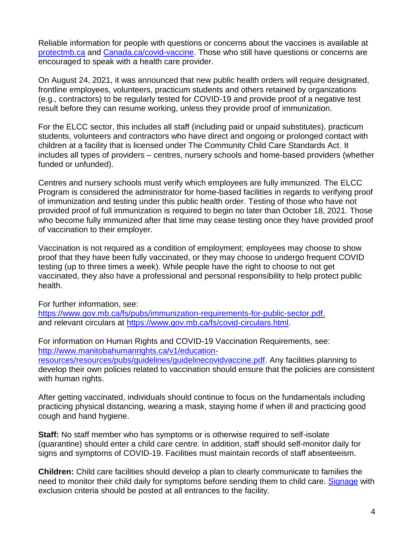Reliable information for people with questions or concerns about the vaccines is available at [protectmb.ca](https://protectmb.ca/) and [Canada.ca/covid-vaccine.](https://www.canada.ca/en/public-health/services/diseases/coronavirus-disease-covid-19/vaccines.html?utm_campaign=not-applicable&utm_medium=vanity-url&utm_source=canada-ca_covid-vaccine) Those who still have questions or concerns are encouraged to speak with a health care provider.

On August 24, 2021, it was announced that new public health orders will require designated, frontline employees, volunteers, practicum students and others retained by organizations (e.g., contractors) to be regularly tested for COVID-19 and provide proof of a negative test result before they can resume working, unless they provide proof of immunization.

For the ELCC sector, this includes all staff (including paid or unpaid substitutes), practicum students, volunteers and contractors who have direct and ongoing or prolonged contact with children at a facility that is licensed under The Community Child Care Standards Act. It includes all types of providers – centres, nursery schools and home-based providers (whether funded or unfunded).

Centres and nursery schools must verify which employees are fully immunized. The ELCC Program is considered the administrator for home-based facilities in regards to verifying proof of immunization and testing under this public health order. Testing of those who have not provided proof of full immunization is required to begin no later than October 18, 2021. Those who become fully immunized after that time may cease testing once they have provided proof of vaccination to their employer.

Vaccination is not required as a condition of employment; employees may choose to show proof that they have been fully vaccinated, or they may choose to undergo frequent COVID testing (up to three times a week). While people have the right to choose to not get vaccinated, they also have a professional and personal responsibility to help protect public health.

For further information, see: [https://www.gov.mb.ca/fs/pubs/immunization-requirements-for-public-sector.pdf,](https://www.gov.mb.ca/fs/pubs/immunization-requirements-for-public-sector.pdf) and relevant circulars at [https://www.gov.mb.ca/fs/covid-circulars.html.](https://www.gov.mb.ca/fs/covid-circulars.html)

For information on Human Rights and COVID-19 Vaccination Requirements, see: [http://www.manitobahumanrights.ca/v1/education](http://www.manitobahumanrights.ca/v1/education-resources/resources/pubs/guidelines/guidelinecovidvaccine.pdf)[resources/resources/pubs/guidelines/guidelinecovidvaccine.pdf.](http://www.manitobahumanrights.ca/v1/education-resources/resources/pubs/guidelines/guidelinecovidvaccine.pdf) Any facilities planning to develop their own policies related to vaccination should ensure that the policies are consistent with human rights.

After getting vaccinated, individuals should continue to focus on the fundamentals including practicing physical distancing, wearing a mask, staying home if when ill and practicing good cough and hand hygiene.

**Staff:** No staff member who has symptoms or is otherwise required to self-isolate (quarantine) should enter a child care centre. In addition, staff should self-monitor daily for signs and symptoms of COVID-19. Facilities must maintain records of staff absenteeism.

**Children:** Child care facilities should develop a plan to clearly communicate to families the need to monitor their child daily for symptoms before sending them to child care. [Signage](https://www.gov.mb.ca/asset_library/en/coronavirus/COVID-19-poster-1.pdf) with exclusion criteria should be posted at all entrances to the facility.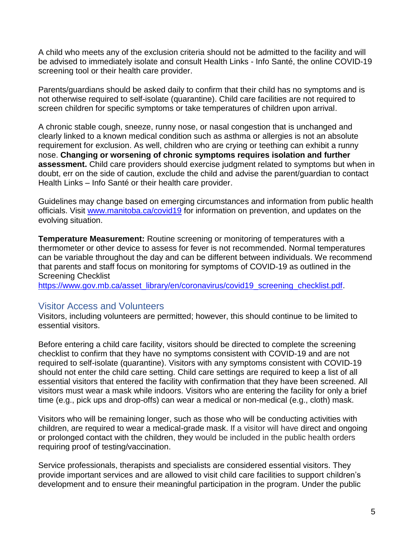A child who meets any of the exclusion criteria should not be admitted to the facility and will be advised to immediately isolate and consult Health Links - Info Santé, the online COVID-19 screening tool or their health care provider.

Parents/guardians should be asked daily to confirm that their child has no symptoms and is not otherwise required to self-isolate (quarantine). Child care facilities are not required to screen children for specific symptoms or take temperatures of children upon arrival.

A chronic stable cough, sneeze, runny nose, or nasal congestion that is unchanged and clearly linked to a known medical condition such as asthma or allergies is not an absolute requirement for exclusion. As well, children who are crying or teething can exhibit a runny nose. **Changing or worsening of chronic symptoms requires isolation and further assessment.** Child care providers should exercise judgment related to symptoms but when in doubt, err on the side of caution, exclude the child and advise the parent/guardian to contact Health Links – Info Santé or their health care provider.

Guidelines may change based on emerging circumstances and information from public health officials. Visit [www.manitoba.ca/covid19](http://www.manitoba.ca/covid19) for information on prevention, and updates on the evolving situation.

**Temperature Measurement:** Routine screening or monitoring of temperatures with a thermometer or other device to assess for fever is not recommended. Normal temperatures can be variable throughout the day and can be different between individuals. We recommend that parents and staff focus on monitoring for symptoms of COVID-19 as outlined in the Screening Checklist

[https://www.gov.mb.ca/asset\\_library/en/coronavirus/covid19\\_screening\\_checklist.pdf.](https://www.gov.mb.ca/asset_library/en/coronavirus/covid19_screening_checklist.pdf)

### <span id="page-4-0"></span>Visitor Access and Volunteers

Visitors, including volunteers are permitted; however, this should continue to be limited to essential visitors.

Before entering a child care facility, visitors should be directed to complete the screening checklist to confirm that they have no symptoms consistent with COVID-19 and are not required to self-isolate (quarantine). Visitors with any symptoms consistent with COVID-19 should not enter the child care setting. Child care settings are required to keep a list of all essential visitors that entered the facility with confirmation that they have been screened. All visitors must wear a mask while indoors. Visitors who are entering the facility for only a brief time (e.g., pick ups and drop-offs) can wear a medical or non-medical (e.g., cloth) mask.

Visitors who will be remaining longer, such as those who will be conducting activities with children, are required to wear a medical-grade mask. If a visitor will have direct and ongoing or prolonged contact with the children, they would be included in the public health orders requiring proof of testing/vaccination.

Service professionals, therapists and specialists are considered essential visitors. They provide important services and are allowed to visit child care facilities to support children's development and to ensure their meaningful participation in the program. Under the public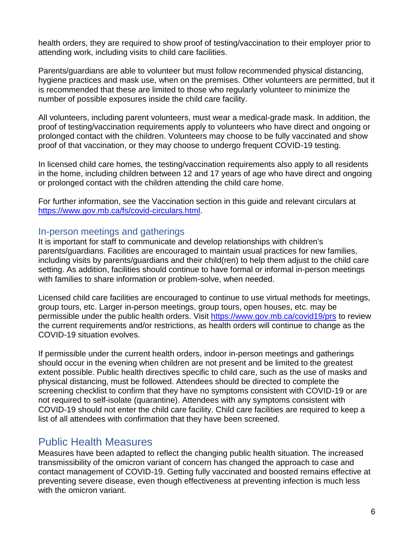health orders, they are required to show proof of testing/vaccination to their employer prior to attending work, including visits to child care facilities.

Parents/guardians are able to volunteer but must follow recommended physical distancing, hygiene practices and mask use, when on the premises. Other volunteers are permitted, but it is recommended that these are limited to those who regularly volunteer to minimize the number of possible exposures inside the child care facility.

All volunteers, including parent volunteers, must wear a medical-grade mask. In addition, the proof of testing/vaccination requirements apply to volunteers who have direct and ongoing or prolonged contact with the children. Volunteers may choose to be fully vaccinated and show proof of that vaccination, or they may choose to undergo frequent COVID-19 testing.

In licensed child care homes, the testing/vaccination requirements also apply to all residents in the home, including children between 12 and 17 years of age who have direct and ongoing or prolonged contact with the children attending the child care home.

For further information, see the Vaccination section in this guide and relevant circulars at [https://www.gov.mb.ca/fs/covid-circulars.html.](https://www.gov.mb.ca/fs/covid-circulars.html)

### <span id="page-5-0"></span>In-person meetings and gatherings

It is important for staff to communicate and develop relationships with children's parents/guardians. Facilities are encouraged to maintain usual practices for new families, including visits by parents/guardians and their child(ren) to help them adjust to the child care setting. As addition, facilities should continue to have formal or informal in-person meetings with families to share information or problem-solve, when needed.

Licensed child care facilities are encouraged to continue to use virtual methods for meetings, group tours, etc. Larger in-person meetings, group tours, open houses, etc. may be permissible under the public health orders. Visit [https://www.gov.mb.ca/covid19/prs](https://www.gov.mb.ca/covid19/prs/index.html#provinciallevel) to review the current requirements and/or restrictions, as health orders will continue to change as the COVID-19 situation evolves.

If permissible under the current health orders, indoor in-person meetings and gatherings should occur in the evening when children are not present and be limited to the greatest extent possible. Public health directives specific to child care, such as the use of masks and physical distancing, must be followed. Attendees should be directed to complete the screening checklist to confirm that they have no symptoms consistent with COVID-19 or are not required to self-isolate (quarantine). Attendees with any symptoms consistent with COVID-19 should not enter the child care facility. Child care facilities are required to keep a list of all attendees with confirmation that they have been screened.

# <span id="page-5-1"></span>Public Health Measures

Measures have been adapted to reflect the changing public health situation. The increased transmissibility of the omicron variant of concern has changed the approach to case and contact management of COVID-19. Getting fully vaccinated and boosted remains effective at preventing severe disease, even though effectiveness at preventing infection is much less with the omicron variant.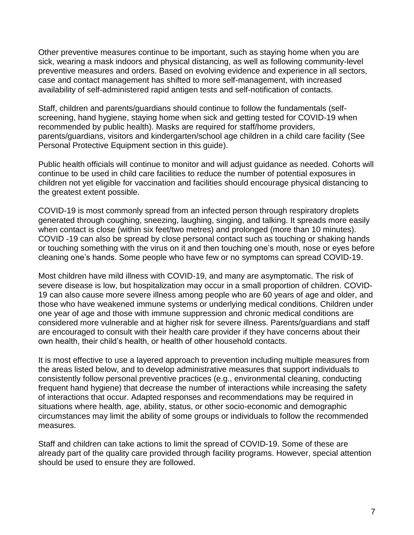Other preventive measures continue to be important, such as staying home when you are sick, wearing a mask indoors and physical distancing, as well as following community-level preventive measures and orders. Based on evolving evidence and experience in all sectors, case and contact management has shifted to more self-management, with increased availability of self-administered rapid antigen tests and self-notification of contacts.

Staff, children and parents/guardians should continue to follow the fundamentals (selfscreening, hand hygiene, staying home when sick and getting tested for COVID-19 when recommended by public health). Masks are required for staff/home providers, parents/guardians, visitors and kindergarten/school age children in a child care facility (See Personal Protective Equipment section in this guide).

Public health officials will continue to monitor and will adjust guidance as needed. Cohorts will continue to be used in child care facilities to reduce the number of potential exposures in children not yet eligible for vaccination and facilities should encourage physical distancing to the greatest extent possible.

COVID-19 is most commonly spread from an infected person through respiratory droplets generated through coughing, sneezing, laughing, singing, and talking. It spreads more easily when contact is close (within six feet/two metres) and prolonged (more than 10 minutes). COVID -19 can also be spread by close personal contact such as touching or shaking hands or touching something with the virus on it and then touching one's mouth, nose or eyes before cleaning one's hands. Some people who have few or no symptoms can spread COVID-19.

Most children have mild illness with COVID-19, and many are asymptomatic. The risk of severe disease is low, but hospitalization may occur in a small proportion of children. COVID-19 can also cause more severe illness among people who are 60 years of age and older, and those who have weakened immune systems or underlying medical conditions. Children under one year of age and those with immune suppression and chronic medical conditions are considered more vulnerable and at higher risk for severe illness. Parents/guardians and staff are encouraged to consult with their health care provider if they have concerns about their own health, their child's health, or health of other household contacts.

It is most effective to use a layered approach to prevention including multiple measures from the areas listed below, and to develop administrative measures that support individuals to consistently follow personal preventive practices (e.g., environmental cleaning, conducting frequent hand hygiene) that decrease the number of interactions while increasing the safety of interactions that occur. Adapted responses and recommendations may be required in situations where health, age, ability, status, or other socio-economic and demographic circumstances may limit the ability of some groups or individuals to follow the recommended measures.

Staff and children can take actions to limit the spread of COVID-19. Some of these are already part of the quality care provided through facility programs. However, special attention should be used to ensure they are followed.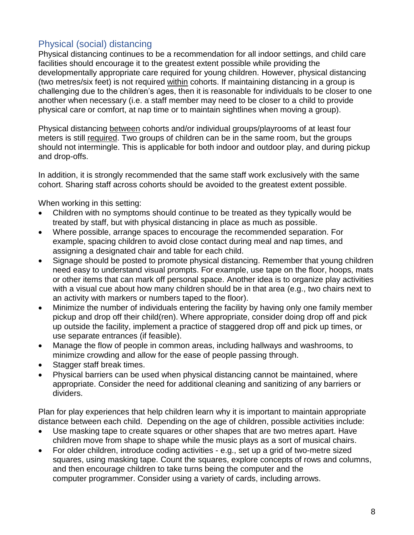## <span id="page-7-0"></span>Physical (social) distancing

Physical distancing continues to be a recommendation for all indoor settings, and child care facilities should encourage it to the greatest extent possible while providing the developmentally appropriate care required for young children. However, physical distancing (two metres/six feet) is not required within cohorts. If maintaining distancing in a group is challenging due to the children's ages, then it is reasonable for individuals to be closer to one another when necessary (i.e. a staff member may need to be closer to a child to provide physical care or comfort, at nap time or to maintain sightlines when moving a group).

Physical distancing between cohorts and/or individual groups/playrooms of at least four meters is still required. Two groups of children can be in the same room, but the groups should not intermingle. This is applicable for both indoor and outdoor play, and during pickup and drop-offs.

In addition, it is strongly recommended that the same staff work exclusively with the same cohort. Sharing staff across cohorts should be avoided to the greatest extent possible.

When working in this setting:

- Children with no symptoms should continue to be treated as they typically would be treated by staff, but with physical distancing in place as much as possible.
- Where possible, arrange spaces to encourage the recommended separation. For example, spacing children to avoid close contact during meal and nap times, and assigning a designated chair and table for each child.
- Signage should be posted to promote physical distancing. Remember that young children need easy to understand visual prompts. For example, use tape on the floor, hoops, mats or other items that can mark off personal space. Another idea is to organize play activities with a visual cue about how many children should be in that area (e.g., two chairs next to an activity with markers or numbers taped to the floor).
- Minimize the number of individuals entering the facility by having only one family member pickup and drop off their child(ren). Where appropriate, consider doing drop off and pick up outside the facility, implement a practice of staggered drop off and pick up times, or use separate entrances (if feasible).
- Manage the flow of people in common areas, including hallways and washrooms, to minimize crowding and allow for the ease of people passing through.
- Stagger staff break times.
- Physical barriers can be used when physical distancing cannot be maintained, where appropriate. Consider the need for additional cleaning and sanitizing of any barriers or dividers.

Plan for play experiences that help children learn why it is important to maintain appropriate distance between each child. Depending on the age of children, possible activities include:

- Use masking tape to create squares or other shapes that are two metres apart. Have children move from shape to shape while the music plays as a sort of musical chairs.
- For older children, introduce coding activities e.g., set up a grid of two-metre sized squares, using masking tape. Count the squares, explore concepts of rows and columns, and then encourage children to take turns being the computer and the computer programmer. Consider using a variety of cards, including arrows.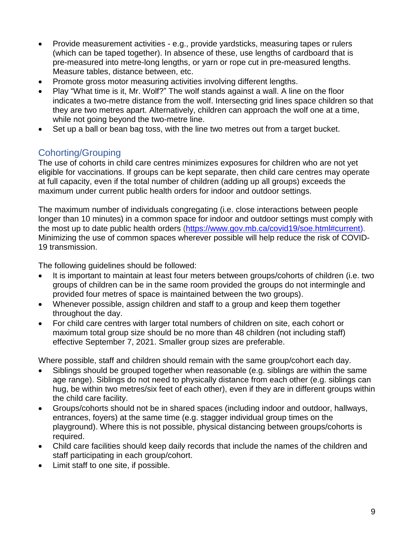- Provide measurement activities e.g., provide yardsticks, measuring tapes or rulers (which can be taped together). In absence of these, use lengths of cardboard that is pre-measured into metre-long lengths, or yarn or rope cut in pre-measured lengths. Measure tables, distance between, etc.
- Promote gross motor measuring activities involving different lengths.
- Play "What time is it, Mr. Wolf?" The wolf stands against a wall. A line on the floor indicates a two-metre distance from the wolf. Intersecting grid lines space children so that they are two metres apart. Alternatively, children can approach the wolf one at a time, while not going beyond the two-metre line.
- Set up a ball or bean bag toss, with the line two metres out from a target bucket.

### <span id="page-8-0"></span>Cohorting/Grouping

The use of cohorts in child care centres minimizes exposures for children who are not yet eligible for vaccinations. If groups can be kept separate, then child care centres may operate at full capacity, even if the total number of children (adding up all groups) exceeds the maximum under current public health orders for indoor and outdoor settings.

The maximum number of individuals congregating (i.e. close interactions between people longer than 10 minutes) in a common space for indoor and outdoor settings must comply with the most up to date public health orders [\(https://www.gov.mb.ca/covid19/soe.html#current\)](https://www.gov.mb.ca/covid19/soe.html#current). Minimizing the use of common spaces wherever possible will help reduce the risk of COVID-19 transmission.

The following guidelines should be followed:

- It is important to maintain at least four meters between groups/cohorts of children (i.e. two groups of children can be in the same room provided the groups do not intermingle and provided four metres of space is maintained between the two groups).
- Whenever possible, assign children and staff to a group and keep them together throughout the day.
- For child care centres with larger total numbers of children on site, each cohort or maximum total group size should be no more than 48 children (not including staff) effective September 7, 2021. Smaller group sizes are preferable.

Where possible, staff and children should remain with the same group/cohort each day.

- Siblings should be grouped together when reasonable (e.g. siblings are within the same age range). Siblings do not need to physically distance from each other (e.g. siblings can hug, be within two metres/six feet of each other), even if they are in different groups within the child care facility.
- Groups/cohorts should not be in shared spaces (including indoor and outdoor, hallways, entrances, foyers) at the same time (e.g. stagger individual group times on the playground). Where this is not possible, physical distancing between groups/cohorts is required.
- Child care facilities should keep daily records that include the names of the children and staff participating in each group/cohort.
- Limit staff to one site, if possible.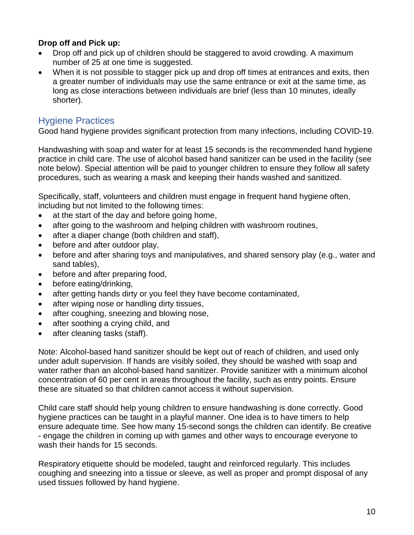### **Drop off and Pick up:**

- Drop off and pick up of children should be staggered to avoid crowding. A maximum number of 25 at one time is suggested.
- When it is not possible to stagger pick up and drop off times at entrances and exits, then a greater number of individuals may use the same entrance or exit at the same time, as long as close interactions between individuals are brief (less than 10 minutes, ideally shorter).

### <span id="page-9-0"></span>Hygiene Practices

Good hand hygiene provides significant protection from many infections, including COVID-19.

Handwashing with soap and water for at least 15 seconds is the recommended hand hygiene practice in child care. The use of alcohol based hand sanitizer can be used in the facility (see note below). Special attention will be paid to younger children to ensure they follow all safety procedures, such as wearing a mask and keeping their hands washed and sanitized.

Specifically, staff, volunteers and children must engage in frequent hand hygiene often, including but not limited to the following times:

- at the start of the day and before going home,
- after going to the washroom and helping children with washroom routines,
- after a diaper change (both children and staff),
- before and after outdoor play,
- before and after sharing toys and manipulatives, and shared sensory play (e.g., water and sand tables),
- before and after preparing food,
- before eating/drinking,
- after getting hands dirty or you feel they have become contaminated,
- after wiping nose or handling dirty tissues,
- after coughing, sneezing and blowing nose,
- after soothing a crying child, and
- after cleaning tasks (staff).

Note: Alcohol-based hand sanitizer should be kept out of reach of children, and used only under adult supervision. If hands are visibly soiled, they should be washed with soap and water rather than an alcohol-based hand sanitizer. Provide sanitizer with a minimum alcohol concentration of 60 per cent in areas throughout the facility, such as entry points. Ensure these are situated so that children cannot access it without supervision.

Child care staff should help young children to ensure handwashing is done correctly. Good hygiene practices can be taught in a playful manner. One idea is to have timers to help ensure adequate time. See how many 15-second songs the children can identify. Be creative - engage the children in coming up with games and other ways to encourage everyone to wash their hands for 15 seconds.

Respiratory etiquette should be modeled, taught and reinforced regularly. This includes coughing and sneezing into a tissue or sleeve, as well as proper and prompt disposal of any used tissues followed by hand hygiene.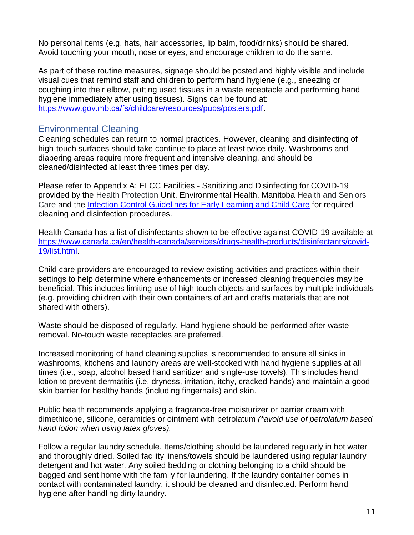No personal items (e.g. hats, hair accessories, lip balm, food/drinks) should be shared. Avoid touching your mouth, nose or eyes, and encourage children to do the same.

As part of these routine measures, signage should be posted and highly visible and include visual cues that remind staff and children to perform hand hygiene (e.g., sneezing or coughing into their elbow, putting used tissues in a waste receptacle and performing hand hygiene immediately after using tissues). Signs can be found at: [https://www.gov.mb.ca/fs/childcare/resources/pubs/posters.pdf.](https://www.gov.mb.ca/fs/childcare/resources/pubs/posters.pdf)

### <span id="page-10-0"></span>Environmental Cleaning

Cleaning schedules can return to normal practices. However, cleaning and disinfecting of high-touch surfaces should take continue to place at least twice daily. Washrooms and diapering areas require more frequent and intensive cleaning, and should be cleaned/disinfected at least three times per day.

Please refer to Appendix A: ELCC Facilities - Sanitizing and Disinfecting for COVID-19 provided by the [Health Protection](https://www.gov.mb.ca/health/publichealth/environmentalhealth/protection/index.html) Unit, Environmental Health, Manitoba [Health and Seniors](https://www.gov.mb.ca/health/index.html)  [Care](https://www.gov.mb.ca/health/index.html) and the [Infection Control Guidelines for Early Learning and Child Care](https://www.gov.mb.ca/fs/childcare/resources/pubs/infection_control.pdf) for required cleaning and disinfection procedures.

Health Canada has a list of disinfectants shown to be effective against COVID-19 available at [https://www.canada.ca/en/health-canada/services/drugs-health-products/disinfectants/covid-](https://www.canada.ca/en/health-canada/services/drugs-health-products/disinfectants/covid-19/list.html)[19/list.html.](https://www.canada.ca/en/health-canada/services/drugs-health-products/disinfectants/covid-19/list.html)

Child care providers are encouraged to review existing activities and practices within their settings to help determine where enhancements or increased cleaning frequencies may be beneficial. This includes limiting use of high touch objects and surfaces by multiple individuals (e.g. providing children with their own containers of art and crafts materials that are not shared with others).

Waste should be disposed of regularly. Hand hygiene should be performed after waste removal. No-touch waste receptacles are preferred.

Increased monitoring of hand cleaning supplies is recommended to ensure all sinks in washrooms, kitchens and laundry areas are well-stocked with hand hygiene supplies at all times (i.e., soap, alcohol based hand sanitizer and single-use towels). This includes hand lotion to prevent dermatitis (i.e. dryness, irritation, itchy, cracked hands) and maintain a good skin barrier for healthy hands (including fingernails) and skin.

Public health recommends applying a fragrance-free moisturizer or barrier cream with dimethicone, silicone, ceramides or ointment with petrolatum *(\*avoid use of petrolatum based hand lotion when using latex gloves).*

Follow a regular laundry schedule. Items/clothing should be laundered regularly in hot water and thoroughly dried. Soiled facility linens/towels should be laundered using regular laundry detergent and hot water. Any soiled bedding or clothing belonging to a child should be bagged and sent home with the family for laundering. If the laundry container comes in contact with contaminated laundry, it should be cleaned and disinfected. Perform hand hygiene after handling dirty laundry.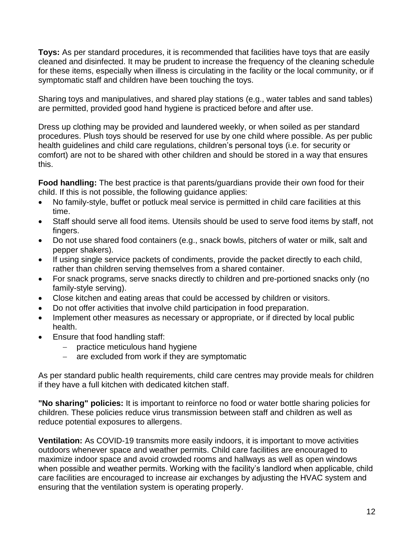**Toys:** As per standard procedures, it is recommended that facilities have toys that are easily cleaned and disinfected. It may be prudent to increase the frequency of the cleaning schedule for these items, especially when illness is circulating in the facility or the local community, or if symptomatic staff and children have been touching the toys.

Sharing toys and manipulatives, and shared play stations (e.g., water tables and sand tables) are permitted, provided good hand hygiene is practiced before and after use.

Dress up clothing may be provided and laundered weekly, or when soiled as per standard procedures. Plush toys should be reserved for use by one child where possible. As per public health guidelines and child care regulations, children's personal toys (i.e. for security or comfort) are not to be shared with other children and should be stored in a way that ensures this.

**Food handling:** The best practice is that parents/guardians provide their own food for their child. If this is not possible, the following guidance applies:

- No family-style, buffet or potluck meal service is permitted in child care facilities at this time.
- Staff should serve all food items. Utensils should be used to serve food items by staff, not fingers.
- Do not use shared food containers (e.g., snack bowls, pitchers of water or milk, salt and pepper shakers).
- If using single service packets of condiments, provide the packet directly to each child, rather than children serving themselves from a shared container.
- For snack programs, serve snacks directly to children and pre-portioned snacks only (no family-style serving).
- Close kitchen and eating areas that could be accessed by children or visitors.
- Do not offer activities that involve child participation in food preparation.
- Implement other measures as necessary or appropriate, or if directed by local public health.
- Ensure that food handling staff:
	- $-$  practice meticulous hand hygiene
	- are excluded from work if they are symptomatic

As per standard public health requirements, child care centres may provide meals for children if they have a full kitchen with dedicated kitchen staff.

**"No sharing" policies:** It is important to reinforce no food or water bottle sharing policies for children. These policies reduce virus transmission between staff and children as well as reduce potential exposures to allergens.

**Ventilation:** As COVID-19 transmits more easily indoors, it is important to move activities outdoors whenever space and weather permits. Child care facilities are encouraged to maximize indoor space and avoid crowded rooms and hallways as well as open windows when possible and weather permits. Working with the facility's landlord when applicable, child care facilities are encouraged to increase air exchanges by adjusting the HVAC system and ensuring that the ventilation system is operating properly.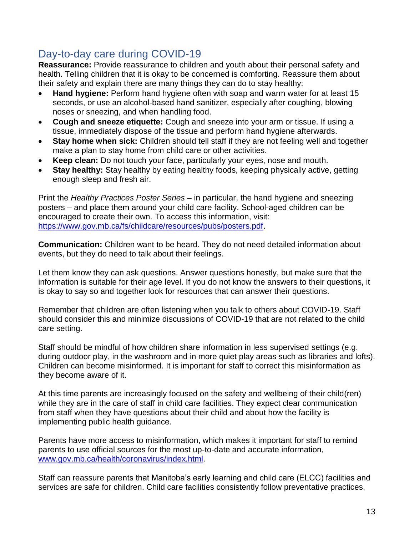# <span id="page-12-0"></span>Day-to-day care during COVID-19

**Reassurance:** Provide reassurance to children and youth about their personal safety and health. Telling children that it is okay to be concerned is comforting. Reassure them about their safety and explain there are many things they can do to stay healthy:

- **Hand hygiene:** Perform hand hygiene often with soap and warm water for at least 15 seconds, or use an alcohol-based hand sanitizer, especially after coughing, blowing noses or sneezing, and when handling food.
- **Cough and sneeze etiquette:** Cough and sneeze into your arm or tissue. If using a tissue, immediately dispose of the tissue and perform hand hygiene afterwards.
- **Stay home when sick:** Children should tell staff if they are not feeling well and together make a plan to stay home from child care or other activities.
- **Keep clean:** Do not touch your face, particularly your eyes, nose and mouth.
- **Stay healthy:** Stay healthy by eating healthy foods, keeping physically active, getting enough sleep and fresh air.

Print the *Healthy Practices Poster Series* – in particular, the hand hygiene and sneezing posters – and place them around your child care facility. School-aged children can be encouraged to create their own. To access this information, visit: [https://www.gov.mb.ca/fs/childcare/resources/pubs/posters.pdf.](https://www.gov.mb.ca/fs/childcare/resources/pubs/posters.pdf)

**Communication:** Children want to be heard. They do not need detailed information about events, but they do need to talk about their feelings.

Let them know they can ask questions. Answer questions honestly, but make sure that the information is suitable for their age level. If you do not know the answers to their questions, it is okay to say so and together look for resources that can answer their questions.

Remember that children are often listening when you talk to others about COVID-19. Staff should consider this and minimize discussions of COVID-19 that are not related to the child care setting.

Staff should be mindful of how children share information in less supervised settings (e.g. during outdoor play, in the washroom and in more quiet play areas such as libraries and lofts). Children can become misinformed. It is important for staff to correct this misinformation as they become aware of it.

At this time parents are increasingly focused on the safety and wellbeing of their child(ren) while they are in the care of staff in child care facilities. They expect clear communication from staff when they have questions about their child and about how the facility is implementing public health guidance.

Parents have more access to misinformation, which makes it important for staff to remind parents to use official sources for the most up-to-date and accurate information, [www.gov.mb.ca/health/coronavirus/index.html.](http://www.gov.mb.ca/health/coronavirus/index.html)

Staff can reassure parents that Manitoba's early learning and child care (ELCC) facilities and services are safe for children. Child care facilities consistently follow preventative practices,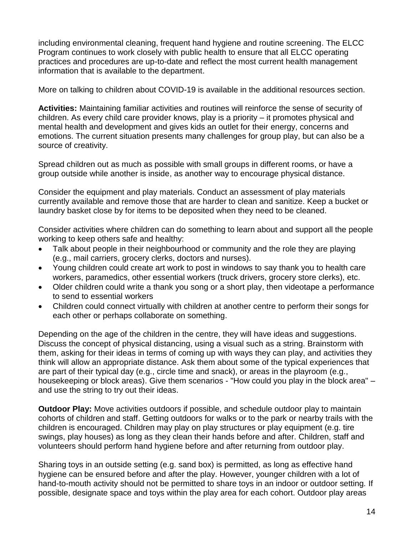including environmental cleaning, frequent hand hygiene and routine screening. The ELCC Program continues to work closely with public health to ensure that all ELCC operating practices and procedures are up-to-date and reflect the most current health management information that is available to the department.

More on talking to children about COVID-19 is available in the additional resources section.

**Activities:** Maintaining familiar activities and routines will reinforce the sense of security of children. As every child care provider knows, play is a priority – it promotes physical and mental health and development and gives kids an outlet for their energy, concerns and emotions. The current situation presents many challenges for group play, but can also be a source of creativity.

Spread children out as much as possible with small groups in different rooms, or have a group outside while another is inside, as another way to encourage physical distance.

Consider the equipment and play materials. Conduct an assessment of play materials currently available and remove those that are harder to clean and sanitize. Keep a bucket or laundry basket close by for items to be deposited when they need to be cleaned.

Consider activities where children can do something to learn about and support all the people working to keep others safe and healthy:

- Talk about people in their neighbourhood or community and the role they are playing (e.g., mail carriers, grocery clerks, doctors and nurses).
- Young children could create art work to post in windows to say thank you to health care workers, paramedics, other essential workers (truck drivers, grocery store clerks), etc.
- Older children could write a thank you song or a short play, then videotape a performance to send to essential workers
- Children could connect virtually with children at another centre to perform their songs for each other or perhaps collaborate on something.

Depending on the age of the children in the centre, they will have ideas and suggestions. Discuss the concept of physical distancing, using a visual such as a string. Brainstorm with them, asking for their ideas in terms of coming up with ways they can play, and activities they think will allow an appropriate distance. Ask them about some of the typical experiences that are part of their typical day (e.g., circle time and snack), or areas in the playroom (e.g., housekeeping or block areas). Give them scenarios - "How could you play in the block area" – and use the string to try out their ideas.

**Outdoor Play:** Move activities outdoors if possible, and schedule outdoor play to maintain cohorts of children and staff. Getting outdoors for walks or to the park or nearby trails with the children is encouraged. Children may play on play structures or play equipment (e.g. tire swings, play houses) as long as they clean their hands before and after. Children, staff and volunteers should perform hand hygiene before and after returning from outdoor play.

Sharing toys in an outside setting (e.g. sand box) is permitted, as long as effective hand hygiene can be ensured before and after the play. However, younger children with a lot of hand-to-mouth activity should not be permitted to share toys in an indoor or outdoor setting. If possible, designate space and toys within the play area for each cohort. Outdoor play areas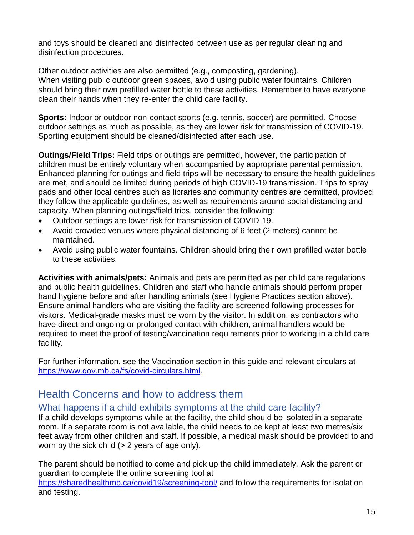and toys should be cleaned and disinfected between use as per regular cleaning and disinfection procedures.

Other outdoor activities are also permitted (e.g., composting, gardening). When visiting public outdoor green spaces, avoid using public water fountains. Children should bring their own prefilled water bottle to these activities. Remember to have everyone clean their hands when they re-enter the child care facility.

**Sports:** Indoor or outdoor non-contact sports (e.g. tennis, soccer) are permitted. Choose outdoor settings as much as possible, as they are lower risk for transmission of COVID-19. Sporting equipment should be cleaned/disinfected after each use.

**Outings/Field Trips:** Field trips or outings are permitted, however, the participation of children must be entirely voluntary when accompanied by appropriate parental permission. Enhanced planning for outings and field trips will be necessary to ensure the health guidelines are met, and should be limited during periods of high COVID-19 transmission. Trips to spray pads and other local centres such as libraries and community centres are permitted, provided they follow the applicable guidelines, as well as requirements around social distancing and capacity. When planning outings/field trips, consider the following:

- Outdoor settings are lower risk for transmission of COVID-19.
- Avoid crowded venues where physical distancing of 6 feet (2 meters) cannot be maintained.
- Avoid using public water fountains. Children should bring their own prefilled water bottle to these activities.

**Activities with animals/pets:** Animals and pets are permitted as per child care regulations and public health guidelines. Children and staff who handle animals should perform proper hand hygiene before and after handling animals (see Hygiene Practices section above). Ensure animal handlers who are visiting the facility are screened following processes for visitors. Medical-grade masks must be worn by the visitor. In addition, as contractors who have direct and ongoing or prolonged contact with children, animal handlers would be required to meet the proof of testing/vaccination requirements prior to working in a child care facility.

For further information, see the Vaccination section in this guide and relevant circulars at [https://www.gov.mb.ca/fs/covid-circulars.html.](https://www.gov.mb.ca/fs/covid-circulars.html)

# <span id="page-14-0"></span>Health Concerns and how to address them

### <span id="page-14-1"></span>What happens if a child exhibits symptoms at the child care facility?

If a child develops symptoms while at the facility, the child should be isolated in a separate room. If a separate room is not available, the child needs to be kept at least two metres/six feet away from other children and staff. If possible, a medical mask should be provided to and worn by the sick child  $(> 2$  years of age only).

The parent should be notified to come and pick up the child immediately. Ask the parent or guardian to complete the online screening tool at <https://sharedhealthmb.ca/covid19/screening-tool/> and follow the requirements for isolation and testing.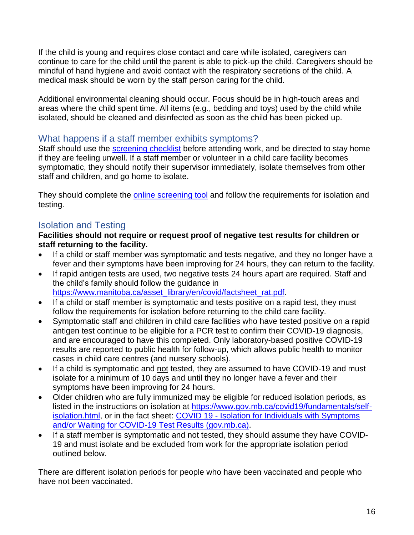If the child is young and requires close contact and care while isolated, caregivers can continue to care for the child until the parent is able to pick-up the child. Caregivers should be mindful of hand hygiene and avoid contact with the respiratory secretions of the child. A medical mask should be worn by the staff person caring for the child.

Additional environmental cleaning should occur. Focus should be in high-touch areas and areas where the child spent time. All items (e.g., bedding and toys) used by the child while isolated, should be cleaned and disinfected as soon as the child has been picked up.

### <span id="page-15-0"></span>What happens if a staff member exhibits symptoms?

Staff should use the screening checklist before attending work, and be directed to stay home if they are feeling unwell. If a staff member or volunteer in a child care facility becomes symptomatic, they should notify their supervisor immediately, isolate themselves from other staff and children, and go home to isolate.

They should complete the [online screening tool](https://sharedhealthmb.ca/covid19/screening-tool/) and follow the requirements for isolation and testing.

# <span id="page-15-1"></span>Isolation and Testing

#### **Facilities should not require or request proof of negative test results for children or staff returning to the facility.**

- If a child or staff member was symptomatic and tests negative, and they no longer have a fever and their symptoms have been improving for 24 hours, they can return to the facility.
- If rapid antigen tests are used, two negative tests 24 hours apart are required. Staff and the child's family should follow the guidance in [https://www.manitoba.ca/asset\\_library/en/covid/factsheet\\_rat.pdf.](https://www.manitoba.ca/asset_library/en/covid/factsheet_rat.pdf)
- If a child or staff member is symptomatic and tests positive on a rapid test, they must follow the requirements for isolation before returning to the child care facility.
- Symptomatic staff and children in child care facilities who have tested positive on a rapid antigen test [continue to be eligible](https://www.gov.mb.ca/covid19/testing/testing-eligibility.html) for a PCR test to confirm their COVID-19 diagnosis, and are encouraged to have this completed. Only laboratory-based positive COVID-19 results are reported to public health for follow-up, which allows public health to monitor cases in child care centres (and nursery schools).
- If a child is symptomatic and not tested, they are assumed to have COVID-19 and must isolate for a minimum of 10 days and until they no longer have a fever and their symptoms have been improving for 24 hours.
- Older children who are fully immunized may be eligible for reduced isolation periods, as listed in the instructions on isolation at [https://www.gov.mb.ca/covid19/fundamentals/self](https://www.gov.mb.ca/covid19/fundamentals/self-isolation.html)[isolation.html](https://www.gov.mb.ca/covid19/fundamentals/self-isolation.html), or in the fact sheet: COVID 19 - Isolation for Individuals with Symptoms [and/or Waiting for COVID-19 Test Results \(gov.mb.ca\).](https://www.gov.mb.ca/asset_library/en/covid/factsheet-isolation-selfmonitoring-recoveringhome.pdf)
- If a staff member is symptomatic and not tested, they should assume they have COVID-19 and must isolate and be excluded from work for the appropriate isolation period outlined below.

There are different isolation periods for people who have been vaccinated and people who have not been vaccinated.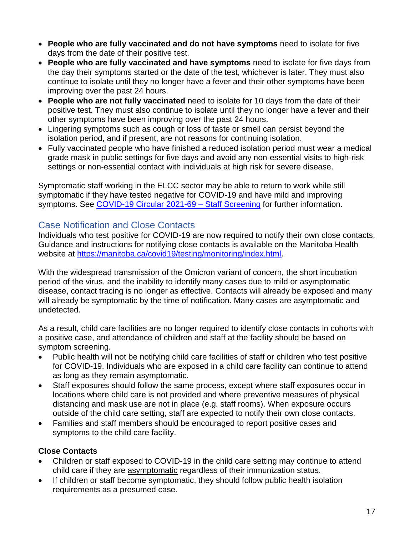- **People who are fully vaccinated and do not have symptoms** need to isolate for five days from the date of their positive test.
- **People who are fully vaccinated and have symptoms** need to isolate for five days from the day their symptoms started or the date of the test, whichever is later. They must also continue to isolate until they no longer have a fever and their other symptoms have been improving over the past 24 hours.
- **People who are not fully vaccinated** need to isolate for 10 days from the date of their positive test. They must also continue to isolate until they no longer have a fever and their other symptoms have been improving over the past 24 hours.
- Lingering symptoms such as cough or loss of taste or smell can persist beyond the isolation period, and if present, are not reasons for continuing isolation.
- Fully vaccinated people who have finished a reduced isolation period must wear a medical grade mask in public settings for five days and avoid any non-essential visits to high-risk settings or non-essential contact with individuals at high risk for severe disease.

Symptomatic staff working in the ELCC sector may be able to return to work while still symptomatic if they have tested negative for COVID-19 and have mild and improving symptoms. See COVID-19 Circular 2021-69 - Staff Screening for further information.

### <span id="page-16-0"></span>Case Notification and Close Contacts

Individuals who test positive for COVID-19 are now required to notify their own close contacts. Guidance and instructions for notifying close contacts is available on the Manitoba Health website at [https://manitoba.ca/covid19/testing/monitoring/index.html.](https://manitoba.ca/covid19/testing/monitoring/index.html)

With the widespread transmission of the Omicron variant of concern, the short incubation period of the virus, and the inability to identify many cases due to mild or asymptomatic disease, contact tracing is no longer as effective. Contacts will already be exposed and many will already be symptomatic by the time of notification. Many cases are asymptomatic and undetected.

As a result, child care facilities are no longer required to identify close contacts in cohorts with a positive case, and attendance of children and staff at the facility should be based on symptom screening.

- Public health will not be notifying child care facilities of staff or children who test positive for COVID-19. Individuals who are exposed in a child care facility can continue to attend as long as they remain asymptomatic.
- Staff exposures should follow the same process, except where staff exposures occur in locations where child care is not provided and where preventive measures of physical distancing and mask use are not in place (e.g. staff rooms). When exposure occurs outside of the child care setting, staff are expected to notify their own close contacts.
- Families and staff members should be encouraged to report positive cases and symptoms to the child care facility.

### **Close Contacts**

- Children or staff exposed to COVID-19 in the child care setting may continue to attend child care if they are asymptomatic regardless of their immunization status.
- If children or staff become symptomatic, they should follow public health isolation requirements as a presumed case.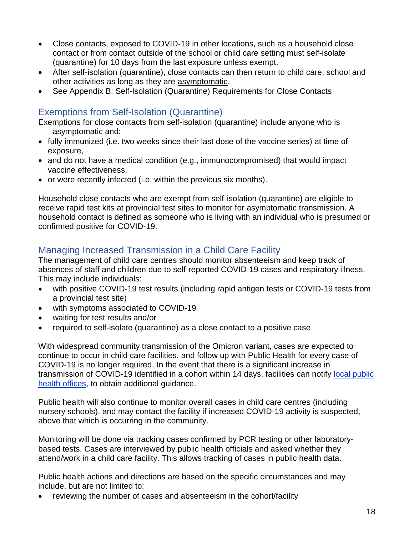- Close contacts, exposed to COVID-19 in other locations, such as a household close contact or from contact outside of the school or child care setting must self-isolate (quarantine) for 10 days from the last exposure unless exempt.
- After self-isolation (quarantine), close contacts can then return to child care, school and other activities as long as they are asymptomatic.
- See Appendix B: Self-Isolation (Quarantine) Requirements for Close Contacts

## <span id="page-17-0"></span>Exemptions from Self-Isolation (Quarantine)

Exemptions for close contacts from self-isolation (quarantine) include anyone who is asymptomatic and:

- fully immunized (i.e. two weeks since their last dose of the vaccine series) at time of exposure,
- and do not have a medical condition (e.g., immunocompromised) that would impact vaccine effectiveness,
- or were recently infected (i.e. within the previous six months).

Household close contacts who are exempt from self-isolation (quarantine) are eligible to receive rapid test kits at provincial test sites to monitor for asymptomatic transmission. A household contact is defined as someone who is living with an individual who is presumed or confirmed positive for COVID-19.

# <span id="page-17-1"></span>Managing Increased Transmission in a Child Care Facility

The management of child care centres should monitor absenteeism and keep track of absences of staff and children due to self-reported COVID-19 cases and respiratory illness. This may include individuals:

- with positive COVID-19 test results (including rapid antigen tests or COVID-19 tests from a provincial test site)
- with symptoms associated to COVID-19
- waiting for test results and/or
- required to self-isolate (quarantine) as a close contact to a positive case

With widespread community transmission of the Omicron variant, cases are expected to continue to occur in child care facilities, and follow up with Public Health for every case of COVID-19 is no longer required. In the event that there is a significant increase in transmission of COVID-19 identified in a cohort within 14 days, facilities can notify [local public](https://www.gov.mb.ca/health/publichealth/offices.html)  [health offices,](https://www.gov.mb.ca/health/publichealth/offices.html) to obtain additional guidance.

Public health will also continue to monitor overall cases in child care centres (including nursery schools), and may contact the facility if increased COVID-19 activity is suspected, above that which is occurring in the community.

Monitoring will be done via tracking cases confirmed by PCR testing or other laboratorybased tests. Cases are interviewed by public health officials and asked whether they attend/work in a child care facility. This allows tracking of cases in public health data.

Public health actions and directions are based on the specific circumstances and may include, but are not limited to:

reviewing the number of cases and absenteeism in the cohort/facility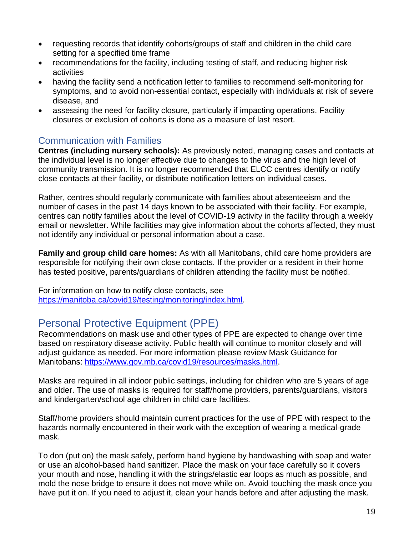- requesting records that identify cohorts/groups of staff and children in the child care setting for a specified time frame
- recommendations for the facility, including testing of staff, and reducing higher risk activities
- having the facility send a notification letter to families to recommend self-monitoring for symptoms, and to avoid non-essential contact, especially with individuals at risk of severe disease, and
- assessing the need for facility closure, particularly if impacting operations. Facility closures or exclusion of cohorts is done as a measure of last resort.

### <span id="page-18-0"></span>Communication with Families

**Centres (including nursery schools):** As previously noted, managing cases and contacts at the individual level is no longer effective due to changes to the virus and the high level of community transmission. It is no longer recommended that ELCC centres identify or notify close contacts at their facility, or distribute notification letters on individual cases.

Rather, centres should regularly communicate with families about absenteeism and the number of cases in the past 14 days known to be associated with their facility. For example, centres can notify families about the level of COVID-19 activity in the facility through a weekly email or newsletter. While facilities may give information about the cohorts affected, they must not identify any individual or personal information about a case.

**Family and group child care homes:** As with all Manitobans, child care home providers are responsible for notifying their own close contacts. If the provider or a resident in their home has tested positive, parents/guardians of children attending the facility must be notified.

For information on how to notify close contacts, see [https://manitoba.ca/covid19/testing/monitoring/index.html.](https://manitoba.ca/covid19/testing/monitoring/index.html)

# <span id="page-18-1"></span>Personal Protective Equipment (PPE)

Recommendations on mask use and other types of PPE are expected to change over time based on respiratory disease activity. Public health will continue to monitor closely and will adjust guidance as needed. For more information please review Mask Guidance for Manitobans: [https://www.gov.mb.ca/covid19/resources/masks.html.](https://www.gov.mb.ca/covid19/resources/masks.html)

Masks are required in all indoor public settings, including for children who are 5 years of age and older. The use of masks is required for staff/home providers, parents/guardians, visitors and kindergarten/school age children in child care facilities.

Staff/home providers should maintain current practices for the use of PPE with respect to the hazards normally encountered in their work with the exception of wearing a medical-grade mask.

To don (put on) the mask safely, perform hand hygiene by handwashing with soap and water or use an alcohol-based hand sanitizer. Place the mask on your face carefully so it covers your mouth and nose, handling it with the strings/elastic ear loops as much as possible, and mold the nose bridge to ensure it does not move while on. Avoid touching the mask once you have put it on. If you need to adjust it, clean your hands before and after adjusting the mask.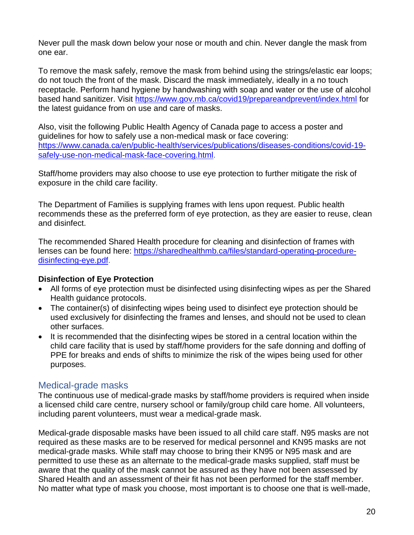Never pull the mask down below your nose or mouth and chin. Never dangle the mask from one ear.

To remove the mask safely, remove the mask from behind using the strings/elastic ear loops; do not touch the front of the mask. Discard the mask immediately, ideally in a no touch receptacle. Perform hand hygiene by handwashing with soap and water or the use of alcohol based hand sanitizer. Visit<https://www.gov.mb.ca/covid19/prepareandprevent/index.html> for the latest guidance from on use and care of masks.

Also, visit the following Public Health Agency of Canada page to access a poster and guidelines for how to safely use a non-medical mask or face covering: [https://www.canada.ca/en/public-health/services/publications/diseases-conditions/covid-19](https://www.canada.ca/en/public-health/services/publications/diseases-conditions/covid-19-safely-use-non-medical-mask-face-covering.html) [safely-use-non-medical-mask-face-covering.html.](https://www.canada.ca/en/public-health/services/publications/diseases-conditions/covid-19-safely-use-non-medical-mask-face-covering.html)

Staff/home providers may also choose to use eye protection to further mitigate the risk of exposure in the child care facility.

The Department of Families is supplying frames with lens upon request. Public health recommends these as the preferred form of eye protection, as they are easier to reuse, clean and disinfect.

The recommended Shared Health procedure for cleaning and disinfection of frames with lenses can be found here: [https://sharedhealthmb.ca/files/standard-operating-procedure](https://sharedhealthmb.ca/files/standard-operating-procedure-disinfecting-eye.pdf)[disinfecting-eye.pdf.](https://sharedhealthmb.ca/files/standard-operating-procedure-disinfecting-eye.pdf)

### **Disinfection of Eye Protection**

- All forms of eye protection must be disinfected using disinfecting wipes as per the Shared Health guidance protocols.
- The container(s) of disinfecting wipes being used to disinfect eye protection should be used exclusively for disinfecting the frames and lenses, and should not be used to clean other surfaces.
- It is recommended that the disinfecting wipes be stored in a central location within the child care facility that is used by staff/home providers for the safe donning and doffing of PPE for breaks and ends of shifts to minimize the risk of the wipes being used for other purposes.

### <span id="page-19-0"></span>Medical-grade masks

The continuous use of medical-grade masks by staff/home providers is required when inside a licensed child care centre, nursery school or family/group child care home. All volunteers, including parent volunteers, must wear a medical-grade mask.

Medical-grade disposable masks have been issued to all child care staff. N95 masks are not required as these masks are to be reserved for medical personnel and KN95 masks are not medical-grade masks. While staff may choose to bring their KN95 or N95 mask and are permitted to use these as an alternate to the medical-grade masks supplied, staff must be aware that the quality of the mask cannot be assured as they have not been assessed by Shared Health and an assessment of their fit has not been performed for the staff member. No matter what type of mask you choose, most important is to choose one that is well-made,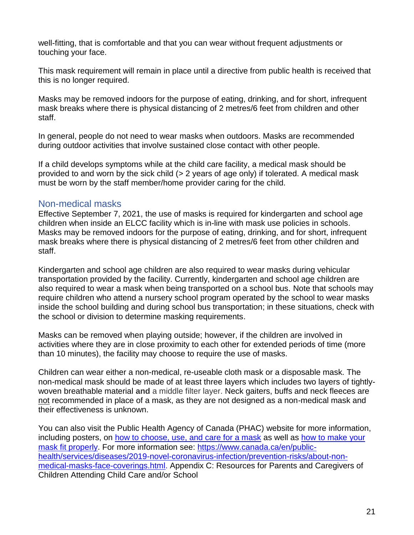well-fitting, that is comfortable and that you can wear without frequent adjustments or touching your face.

This mask requirement will remain in place until a directive from public health is received that this is no longer required.

Masks may be removed indoors for the purpose of eating, drinking, and for short, infrequent mask breaks where there is physical distancing of 2 metres/6 feet from children and other staff.

In general, people do not need to wear masks when outdoors. Masks are recommended during outdoor activities that involve sustained close contact with other people.

If a child develops symptoms while at the child care facility, a medical mask should be provided to and worn by the sick child (> 2 years of age only) if tolerated. A medical mask must be worn by the staff member/home provider caring for the child.

### <span id="page-20-0"></span>Non-medical masks

Effective September 7, 2021, the use of masks is required for kindergarten and school age children when inside an ELCC facility which is in-line with mask use policies in schools. Masks may be removed indoors for the purpose of eating, drinking, and for short, infrequent mask breaks where there is physical distancing of 2 metres/6 feet from other children and staff.

Kindergarten and school age children are also required to wear masks during vehicular transportation provided by the facility. Currently, kindergarten and school age children are also required to wear a mask when being transported on a school bus. Note that schools may require children who attend a nursery school program operated by the school to wear masks inside the school building and during school bus transportation; in these situations, check with the school or division to determine masking requirements.

Masks can be removed when playing outside; however, if the children are involved in activities where they are in close proximity to each other for extended periods of time (more than 10 minutes), the facility may choose to require the use of masks.

Children can wear either a non-medical, re-useable cloth mask or a disposable mask. The non-medical mask should be made of at least three layers which includes two layers of tightlywoven breathable material **and** a middle filter layer. Neck gaiters, buffs and neck fleeces are not recommended in place of a mask, as they are not designed as a non-medical mask and their effectiveness is unknown.

You can also visit the Public Health Agency of Canada (PHAC) website for more information, including posters, on [how to choose, use, and care for a mask](https://www.canada.ca/en/public-health/services/publications/diseases-conditions/covid-19-safely-use-non-medical-mask-face-covering.html) as well as [how to make your](https://www.canada.ca/en/public-health/services/publications/diseases-conditions/covid-19-mask-fit-properly.html)  [mask fit properly.](https://www.canada.ca/en/public-health/services/publications/diseases-conditions/covid-19-mask-fit-properly.html) For more information see: [https://www.canada.ca/en/public](https://www.canada.ca/en/public-health/services/diseases/2019-novel-coronavirus-infection/prevention-risks/about-non-medical-masks-face-coverings.html)[health/services/diseases/2019-novel-coronavirus-infection/prevention-risks/about-non](https://www.canada.ca/en/public-health/services/diseases/2019-novel-coronavirus-infection/prevention-risks/about-non-medical-masks-face-coverings.html)[medical-masks-face-coverings.html.](https://www.canada.ca/en/public-health/services/diseases/2019-novel-coronavirus-infection/prevention-risks/about-non-medical-masks-face-coverings.html) Appendix C: Resources for Parents and Caregivers of Children Attending Child Care and/or School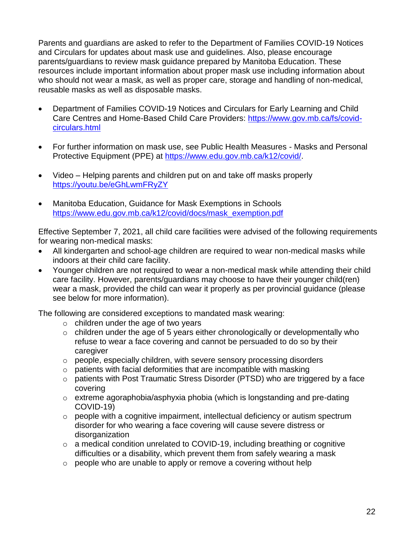Parents and guardians are asked to refer to the Department of Families COVID-19 Notices and Circulars for updates about mask use and guidelines. Also, please encourage parents/guardians to review mask guidance prepared by Manitoba Education. These resources include important information about proper mask use including information about who should not wear a mask, as well as proper care, storage and handling of non-medical, reusable masks as well as disposable masks.

- Department of Families COVID-19 Notices and Circulars for Early Learning and Child Care Centres and Home-Based Child Care Providers: [https://www.gov.mb.ca/fs/covid](https://www.gov.mb.ca/fs/covid-circulars.html)[circulars.html](https://www.gov.mb.ca/fs/covid-circulars.html)
- For further information on mask use, see Public Health Measures Masks and Personal Protective Equipment (PPE) at [https://www.edu.gov.mb.ca/k12/covid/.](https://www.edu.gov.mb.ca/k12/covid/)
- Video Helping parents and children put on and take off masks properly <https://youtu.be/eGhLwmFRyZY>
- Manitoba Education, Guidance for Mask Exemptions in Schools [https://www.edu.gov.mb.ca/k12/covid/docs/mask\\_exemption.pdf](https://www.edu.gov.mb.ca/k12/covid/docs/mask_exemption.pdf)

Effective September 7, 2021, all child care facilities were advised of the following requirements for wearing non-medical masks:

- All kindergarten and school-age children are required to wear non-medical masks while indoors at their child care facility.
- Younger children are not required to wear a non-medical mask while attending their child care facility. However, parents/guardians may choose to have their younger child(ren) wear a mask, provided the child can wear it properly as per provincial guidance (please see below for more information).

The following are considered exceptions to mandated mask wearing:

- $\circ$  children under the age of two years
- $\circ$  children under the age of 5 years either chronologically or developmentally who refuse to wear a face covering and cannot be persuaded to do so by their caregiver
- o people, especially children, with severe sensory processing disorders
- $\circ$  patients with facial deformities that are incompatible with masking
- o patients with Post Traumatic Stress Disorder (PTSD) who are triggered by a face covering
- o extreme agoraphobia/asphyxia phobia (which is longstanding and pre-dating COVID-19)
- o people with a cognitive impairment, intellectual deficiency or autism spectrum disorder for who wearing a face covering will cause severe distress or disorganization
- $\circ$  a medical condition unrelated to COVID-19, including breathing or cognitive difficulties or a disability, which prevent them from safely wearing a mask
- o people who are unable to apply or remove a covering without help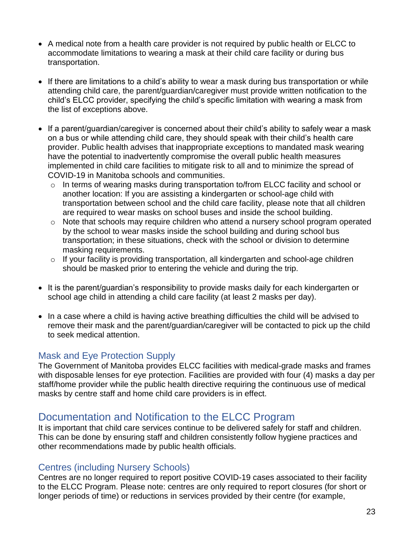- A medical note from a health care provider is not required by public health or ELCC to accommodate limitations to wearing a mask at their child care facility or during bus transportation.
- If there are limitations to a child's ability to wear a mask during bus transportation or while attending child care, the parent/guardian/caregiver must provide written notification to the child's ELCC provider, specifying the child's specific limitation with wearing a mask from the list of exceptions above.
- If a parent/quardian/caregiver is concerned about their child's ability to safely wear a mask on a bus or while attending child care, they should speak with their child's health care provider. Public health advises that inappropriate exceptions to mandated mask wearing have the potential to inadvertently compromise the overall public health measures implemented in child care facilities to mitigate risk to all and to minimize the spread of COVID-19 in Manitoba schools and communities.
	- $\circ$  In terms of wearing masks during transportation to/from ELCC facility and school or another location: If you are assisting a kindergarten or school-age child with transportation between school and the child care facility, please note that all children are required to wear masks on school buses and inside the school building.
	- o Note that schools may require children who attend a nursery school program operated by the school to wear masks inside the school building and during school bus transportation; in these situations, check with the school or division to determine masking requirements.
	- $\circ$  If your facility is providing transportation, all kindergarten and school-age children should be masked prior to entering the vehicle and during the trip.
- It is the parent/guardian's responsibility to provide masks daily for each kindergarten or school age child in attending a child care facility (at least 2 masks per day).
- In a case where a child is having active breathing difficulties the child will be advised to remove their mask and the parent/guardian/caregiver will be contacted to pick up the child to seek medical attention.

### <span id="page-22-0"></span>Mask and Eye Protection Supply

The Government of Manitoba provides ELCC facilities with medical-grade masks and frames with disposable lenses for eye protection. Facilities are provided with four (4) masks a day per staff/home provider while the public health directive requiring the continuous use of medical masks by centre staff and home child care providers is in effect.

# <span id="page-22-1"></span>Documentation and Notification to the ELCC Program

It is important that child care services continue to be delivered safely for staff and children. This can be done by ensuring staff and children consistently follow hygiene practices and other recommendations made by public health officials.

### <span id="page-22-2"></span>Centres (including Nursery Schools)

Centres are no longer required to report positive COVID-19 cases associated to their facility to the ELCC Program. Please note: centres are only required to report closures (for short or longer periods of time) or reductions in services provided by their centre (for example,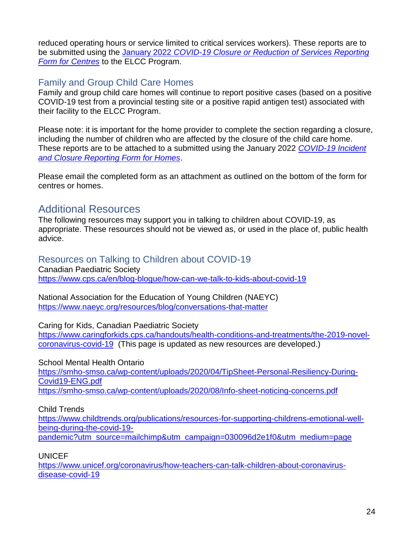reduced operating hours or service limited to critical services workers). These reports are to be submitted using the January 2022 *[COVID-19 Closure or Reduction of Services Reporting](https://www.gov.mb.ca/fs/childcare/resources/pubs/closure-reduction-of-services-reporting-for-centres.pdf)  Form [for Centres](https://www.gov.mb.ca/fs/childcare/resources/pubs/closure-reduction-of-services-reporting-for-centres.pdf)* to the ELCC Program.

## <span id="page-23-0"></span>Family and Group Child Care Homes

Family and group child care homes will continue to report positive cases (based on a positive COVID-19 test from a provincial testing site or a positive rapid antigen test) associated with their facility to the ELCC Program.

Please note: it is important for the home provider to complete the section regarding a closure, including the number of children who are affected by the closure of the child care home. These reports are to be attached to a submitted using the January 2022 *[COVID-19 Incident](https://www.gov.mb.ca/fs/childcare/resources/pubs/incident-closure-reporting-for-homes.pdf)  [and Closure Reporting Form for Homes](https://www.gov.mb.ca/fs/childcare/resources/pubs/incident-closure-reporting-for-homes.pdf)*.

Please email the completed form as an attachment as outlined on the bottom of the form for centres or homes.

# <span id="page-23-1"></span>Additional Resources

The following resources may support you in talking to children about COVID-19, as appropriate. These resources should not be viewed as, or used in the place of, public health advice.

### <span id="page-23-2"></span>Resources on Talking to Children about COVID-19

Canadian Paediatric Society <https://www.cps.ca/en/blog-blogue/how-can-we-talk-to-kids-about-covid-19>

National Association for the Education of Young Children (NAEYC) <https://www.naeyc.org/resources/blog/conversations-that-matter>

Caring for Kids, Canadian Paediatric Society

[https://www.caringforkids.cps.ca/handouts/health-conditions-and-treatments/the-2019-novel](https://www.caringforkids.cps.ca/handouts/health-conditions-and-treatments/the-2019-novel-coronavirus-covid-19)[coronavirus-covid-19](https://www.caringforkids.cps.ca/handouts/health-conditions-and-treatments/the-2019-novel-coronavirus-covid-19) (This page is updated as new resources are developed.)

School Mental Health Ontario

[https://smho-smso.ca/wp-content/uploads/2020/04/TipSheet-Personal-Resiliency-During-](https://smho-smso.ca/wp-content/uploads/2020/04/TipSheet-Personal-Resiliency-During-Covid19-ENG.pdf)[Covid19-ENG.pdf](https://smho-smso.ca/wp-content/uploads/2020/04/TipSheet-Personal-Resiliency-During-Covid19-ENG.pdf)

<https://smho-smso.ca/wp-content/uploads/2020/08/Info-sheet-noticing-concerns.pdf>

Child Trends

[https://www.childtrends.org/publications/resources-for-supporting-childrens-emotional-well](https://www.childtrends.org/publications/resources-for-supporting-childrens-emotional-well-being-during-the-covid-19-pandemic?utm_source=mailchimp&utm_campaign=030096d2e1f0&utm_medium=page)[being-during-the-covid-19-](https://www.childtrends.org/publications/resources-for-supporting-childrens-emotional-well-being-during-the-covid-19-pandemic?utm_source=mailchimp&utm_campaign=030096d2e1f0&utm_medium=page)

[pandemic?utm\\_source=mailchimp&utm\\_campaign=030096d2e1f0&utm\\_medium=page](https://www.childtrends.org/publications/resources-for-supporting-childrens-emotional-well-being-during-the-covid-19-pandemic?utm_source=mailchimp&utm_campaign=030096d2e1f0&utm_medium=page)

**UNICEF** 

[https://www.unicef.org/coronavirus/how-teachers-can-talk-children-about-coronavirus](https://www.unicef.org/coronavirus/how-teachers-can-talk-children-about-coronavirus-disease-covid-19)[disease-covid-19](https://www.unicef.org/coronavirus/how-teachers-can-talk-children-about-coronavirus-disease-covid-19)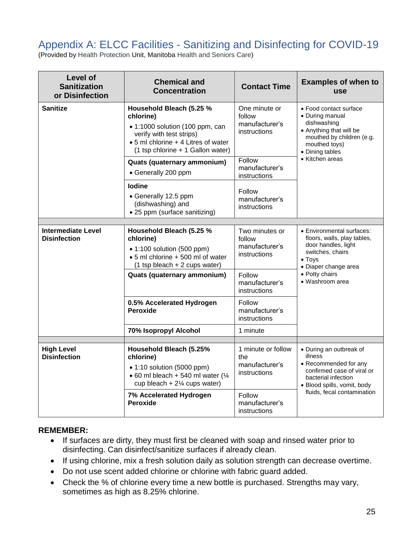# <span id="page-24-0"></span>Appendix A: ELCC Facilities - Sanitizing and Disinfecting for COVID-19

(Provided by [Health Protection](https://www.gov.mb.ca/health/publichealth/environmentalhealth/protection/index.html) Unit, Manitoba Health [and Seniors Care\)](https://www.gov.mb.ca/health/index.html)

| <b>Level of</b><br><b>Sanitization</b><br>or Disinfection | <b>Chemical and</b><br><b>Concentration</b>                                                                                                                                      | <b>Contact Time</b>                                         | <b>Examples of when to</b><br><b>use</b>                                                                                                                                           |
|-----------------------------------------------------------|----------------------------------------------------------------------------------------------------------------------------------------------------------------------------------|-------------------------------------------------------------|------------------------------------------------------------------------------------------------------------------------------------------------------------------------------------|
| <b>Sanitize</b>                                           | Household Bleach (5.25 %<br>chlorine)<br>• 1:1000 solution (100 ppm, can<br>verify with test strips)<br>• 5 ml chlorine + 4 Litres of water<br>(1 tsp chlorine + 1 Gallon water) | One minute or<br>follow<br>manufacturer's<br>instructions   | • Food contact surface<br>• During manual<br>dishwashing<br>• Anything that will be<br>mouthed by children (e.g.<br>mouthed toys)<br>• Dining tables<br>• Kitchen areas            |
|                                                           | Quats (quaternary ammonium)<br>• Generally 200 ppm                                                                                                                               | Follow<br>manufacturer's<br>instructions                    |                                                                                                                                                                                    |
|                                                           | <b>lodine</b><br>• Generally 12.5 ppm<br>(dishwashing) and<br>• 25 ppm (surface sanitizing)                                                                                      | Follow<br>manufacturer's<br>instructions                    |                                                                                                                                                                                    |
|                                                           |                                                                                                                                                                                  |                                                             |                                                                                                                                                                                    |
| <b>Intermediate Level</b><br><b>Disinfection</b>          | Household Bleach (5.25 %<br>chlorine)<br>$\bullet$ 1:100 solution (500 ppm)<br>• 5 ml chlorine + 500 ml of water<br>$(1$ tsp bleach + 2 cups water)                              | Two minutes or<br>follow<br>manufacturer's<br>instructions  | • Environmental surfaces:<br>floors, walls, play tables,<br>door handles, light<br>switches, chairs<br>$\bullet$ Toys<br>• Diaper change area<br>• Potty chairs<br>• Washroom area |
|                                                           | Quats (quaternary ammonium)                                                                                                                                                      | Follow<br>manufacturer's<br>instructions                    |                                                                                                                                                                                    |
|                                                           | 0.5% Accelerated Hydrogen<br><b>Peroxide</b>                                                                                                                                     | Follow<br>manufacturer's<br>instructions                    |                                                                                                                                                                                    |
|                                                           | 70% Isopropyl Alcohol                                                                                                                                                            | 1 minute                                                    |                                                                                                                                                                                    |
|                                                           |                                                                                                                                                                                  |                                                             |                                                                                                                                                                                    |
| <b>High Level</b><br><b>Disinfection</b>                  | Household Bleach (5.25%<br>chlorine)<br>$\bullet$ 1:10 solution (5000 ppm)<br>$\bullet$ 60 ml bleach + 540 ml water ( $\frac{1}{4}$<br>cup bleach + $2\frac{1}{4}$ cups water)   | 1 minute or follow<br>the<br>manufacturer's<br>instructions | • During an outbreak of<br>illness<br>• Recommended for any<br>confirmed case of viral or<br>bacterial infection<br>· Blood spills, vomit, body<br>fluids, fecal contamination     |
|                                                           | 7% Accelerated Hydrogen<br>Peroxide                                                                                                                                              | Follow<br>manufacturer's<br>instructions                    |                                                                                                                                                                                    |

#### **REMEMBER:**

- If surfaces are dirty, they must first be cleaned with soap and rinsed water prior to disinfecting. Can disinfect/sanitize surfaces if already clean.
- If using chlorine, mix a fresh solution daily as solution strength can decrease overtime.
- Do not use scent added chlorine or chlorine with fabric guard added.
- Check the % of chlorine every time a new bottle is purchased. Strengths may vary, sometimes as high as 8.25% chlorine.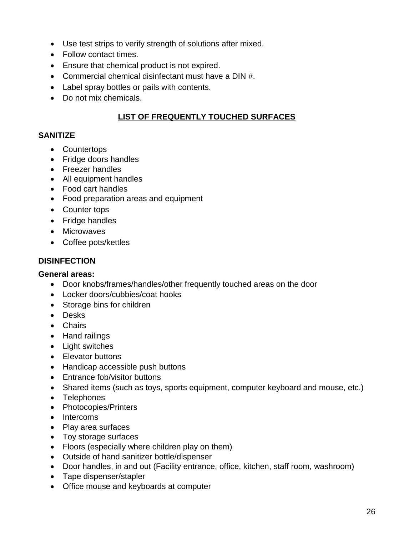- Use test strips to verify strength of solutions after mixed.
- Follow contact times.
- Ensure that chemical product is not expired.
- Commercial chemical disinfectant must have a DIN #.
- Label spray bottles or pails with contents.
- Do not mix chemicals.

### **LIST OF FREQUENTLY TOUCHED SURFACES**

#### **SANITIZE**

- Countertops
- Fridge doors handles
- Freezer handles
- All equipment handles
- Food cart handles
- Food preparation areas and equipment
- Counter tops
- Fridge handles
- Microwaves
- Coffee pots/kettles

#### **DISINFECTION**

#### **General areas:**

- Door knobs/frames/handles/other frequently touched areas on the door
- Locker doors/cubbies/coat hooks
- Storage bins for children
- Desks
- Chairs
- Hand railings
- Light switches
- Elevator buttons
- Handicap accessible push buttons
- Entrance fob/visitor buttons
- Shared items (such as toys, sports equipment, computer keyboard and mouse, etc.)
- Telephones
- Photocopies/Printers
- Intercoms
- Play area surfaces
- Toy storage surfaces
- Floors (especially where children play on them)
- Outside of hand sanitizer bottle/dispenser
- Door handles, in and out (Facility entrance, office, kitchen, staff room, washroom)
- Tape dispenser/stapler
- Office mouse and keyboards at computer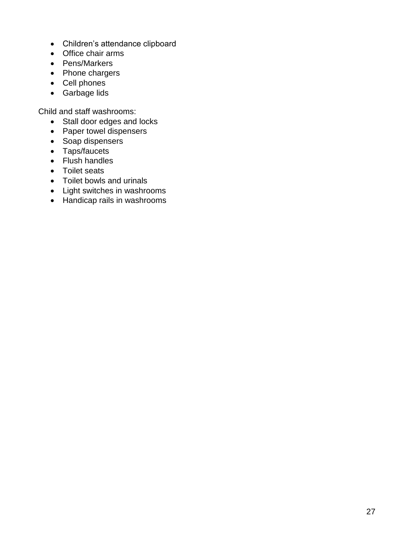- Children's attendance clipboard
- Office chair arms
- Pens/Markers
- Phone chargers
- Cell phones
- Garbage lids

Child and staff washrooms:

- Stall door edges and locks
- Paper towel dispensers
- Soap dispensers
- Taps/faucets
- Flush handles
- Toilet seats
- Toilet bowls and urinals
- Light switches in washrooms
- Handicap rails in washrooms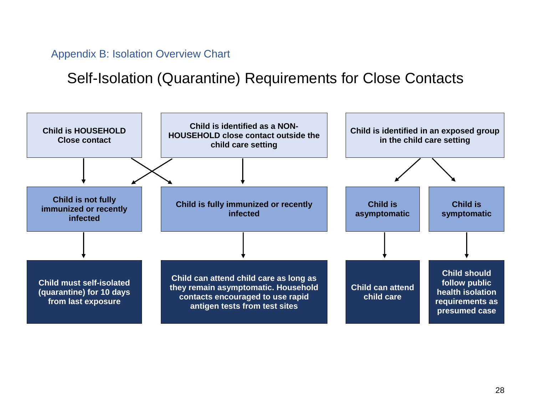Appendix B: Isolation Overview Chart

# Self-Isolation (Quarantine) Requirements for Close Contacts

<span id="page-27-0"></span>